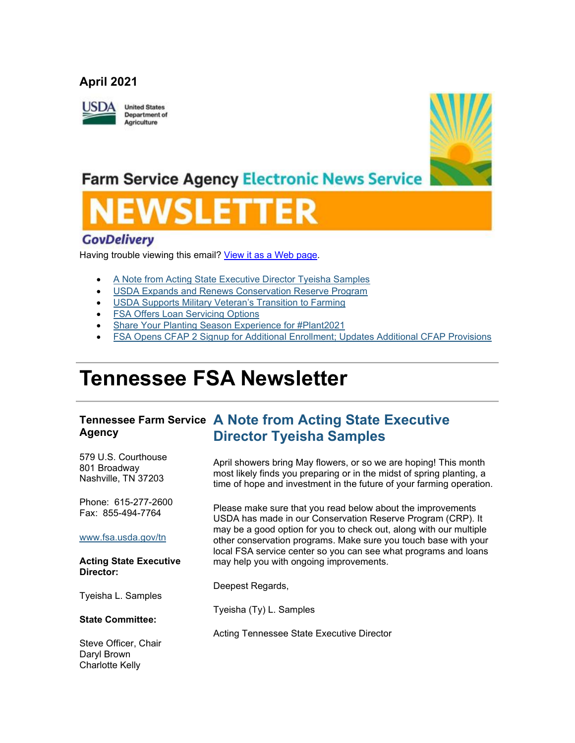## **April 2021**



**United States Department of** Agriculture



# **Farm Service Agency Electronic News Service**

## **GovDelivery**

Having trouble viewing this email? [View it as a Web page.](https://content.govdelivery.com/accounts/USFSA/bulletins/2d6dd91)

- [A Note from Acting State Executive Director Tyeisha Samples](https://admin.govdelivery.com/accounts/USFSA/bulletins?sortdesc=bulletinsort-sent_at&state=sent#link_1)
- [USDA Expands and Renews Conservation Reserve Program](https://admin.govdelivery.com/accounts/USFSA/bulletins?sortdesc=bulletinsort-sent_at&state=sent#link_2)
- [USDA Supports Military Veteran's Transition to Farming](https://admin.govdelivery.com/accounts/USFSA/bulletins?sortdesc=bulletinsort-sent_at&state=sent#link_3)
- **[FSA Offers Loan Servicing Options](https://admin.govdelivery.com/accounts/USFSA/bulletins?sortdesc=bulletinsort-sent_at&state=sent#link_4)**
- [Share Your Planting Season Experience for #Plant2021](https://admin.govdelivery.com/accounts/USFSA/bulletins?sortdesc=bulletinsort-sent_at&state=sent#link_5)
- [FSA Opens CFAP 2 Signup for Additional Enrollment; Updates Additional CFAP Provisions](https://admin.govdelivery.com/accounts/USFSA/bulletins?sortdesc=bulletinsort-sent_at&state=sent#link_6)

# **Tennessee FSA Newsletter**

#### **Tennessee Farm Service A Note from Acting State Executive Agency Director Tyeisha Samples**

579 U.S. Courthouse 801 Broadway Nashville, TN 37203

Phone: 615-277-2600 Fax: 855-494-7764

[www.fsa.usda.gov/tn](http://www.fsa.usda.gov/xx?utm_medium=email&utm_source=govdelivery)

### **Acting State Executive Director:**

Tyeisha L. Samples

#### **State Committee:**

Steve Officer, Chair Daryl Brown Charlotte Kelly

April showers bring May flowers, or so we are hoping! This month most likely finds you preparing or in the midst of spring planting, a time of hope and investment in the future of your farming operation.

Please make sure that you read below about the improvements USDA has made in our Conservation Reserve Program (CRP). It may be a good option for you to check out, along with our multiple other conservation programs. Make sure you touch base with your local FSA service center so you can see what programs and loans may help you with ongoing improvements.

Deepest Regards,

Tyeisha (Ty) L. Samples

Acting Tennessee State Executive Director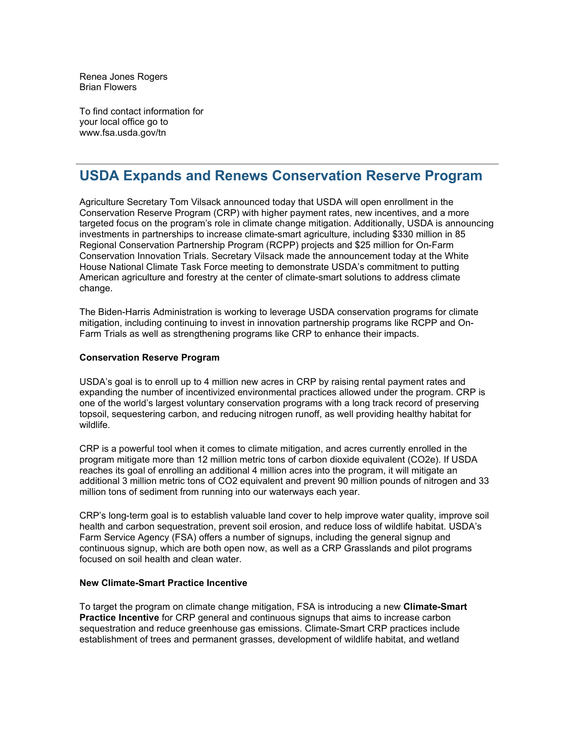Renea Jones Rogers Brian Flowers

To find contact information for your local office go to www.fsa.usda.gov/tn

# **USDA Expands and Renews Conservation Reserve Program**

Agriculture Secretary Tom Vilsack announced today that USDA will open enrollment in the Conservation Reserve Program (CRP) with higher payment rates, new incentives, and a more targeted focus on the program's role in climate change mitigation. Additionally, USDA is announcing investments in partnerships to increase climate-smart agriculture, including \$330 million in 85 Regional Conservation Partnership Program (RCPP) projects and \$25 million for On-Farm Conservation Innovation Trials. Secretary Vilsack made the announcement today at the White House National Climate Task Force meeting to demonstrate USDA's commitment to putting American agriculture and forestry at the center of climate-smart solutions to address climate change.

The Biden-Harris Administration is working to leverage USDA conservation programs for climate mitigation, including continuing to invest in innovation partnership programs like RCPP and On-Farm Trials as well as strengthening programs like CRP to enhance their impacts.

#### **Conservation Reserve Program**

USDA's goal is to enroll up to 4 million new acres in CRP by raising rental payment rates and expanding the number of incentivized environmental practices allowed under the program. CRP is one of the world's largest voluntary conservation programs with a long track record of preserving topsoil, sequestering carbon, and reducing nitrogen runoff, as well providing healthy habitat for wildlife.

CRP is a powerful tool when it comes to climate mitigation, and acres currently enrolled in the program mitigate more than 12 million metric tons of carbon dioxide equivalent (CO2e). If USDA reaches its goal of enrolling an additional 4 million acres into the program, it will mitigate an additional 3 million metric tons of CO2 equivalent and prevent 90 million pounds of nitrogen and 33 million tons of sediment from running into our waterways each year.

CRP's long-term goal is to establish valuable land cover to help improve water quality, improve soil health and carbon sequestration, prevent soil erosion, and reduce loss of wildlife habitat. USDA's Farm Service Agency (FSA) offers a number of signups, including the general signup and continuous signup, which are both open now, as well as a CRP Grasslands and pilot programs focused on soil health and clean water.

### **New Climate-Smart Practice Incentive**

To target the program on climate change mitigation, FSA is introducing a new **Climate-Smart Practice Incentive** for CRP general and continuous signups that aims to increase carbon sequestration and reduce greenhouse gas emissions. Climate-Smart CRP practices include establishment of trees and permanent grasses, development of wildlife habitat, and wetland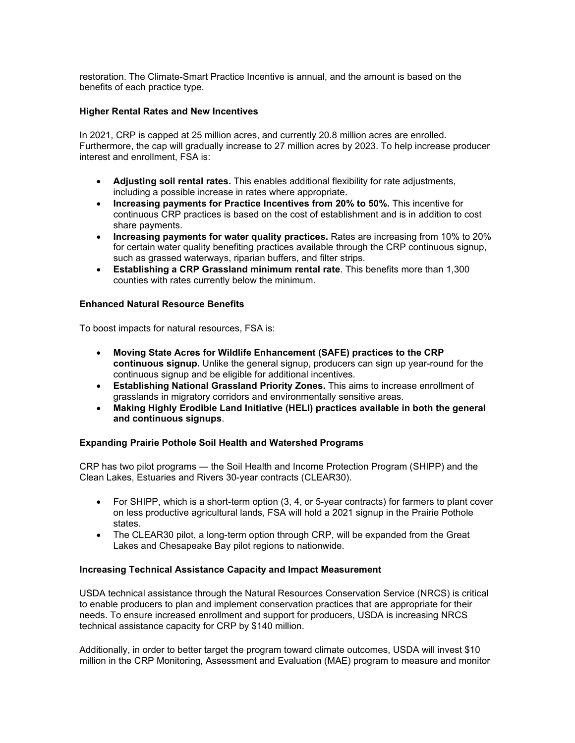restoration. The Climate-Smart Practice Incentive is annual, and the amount is based on the benefits of each practice type.

#### **Higher Rental Rates and New Incentives**

In 2021, CRP is capped at 25 million acres, and currently 20.8 million acres are enrolled. Furthermore, the cap will gradually increase to 27 million acres by 2023. To help increase producer interest and enrollment, FSA is:

- **Adjusting soil rental rates.** This enables additional flexibility for rate adjustments, including a possible increase in rates where appropriate.
- **Increasing payments for Practice Incentives from 20% to 50%.** This incentive for continuous CRP practices is based on the cost of establishment and is in addition to cost share payments.
- **Increasing payments for water quality practices.** Rates are increasing from 10% to 20% for certain water quality benefiting practices available through the CRP continuous signup, such as grassed waterways, riparian buffers, and filter strips.
- **Establishing a CRP Grassland minimum rental rate**. This benefits more than 1,300 counties with rates currently below the minimum.

#### **Enhanced Natural Resource Benefits**

To boost impacts for natural resources, FSA is:

- **Moving State Acres for Wildlife Enhancement (SAFE) practices to the CRP continuous signup.** Unlike the general signup, producers can sign up year-round for the continuous signup and be eligible for additional incentives.
- **Establishing National Grassland Priority Zones.** This aims to increase enrollment of grasslands in migratory corridors and environmentally sensitive areas.
- **Making Highly Erodible Land Initiative (HELI) practices available in both the general and continuous signups**.

#### **Expanding Prairie Pothole Soil Health and Watershed Programs**

CRP has two pilot programs ― the Soil Health and Income Protection Program (SHIPP) and the Clean Lakes, Estuaries and Rivers 30-year contracts (CLEAR30).

- For SHIPP, which is a short-term option (3, 4, or 5-year contracts) for farmers to plant cover on less productive agricultural lands, FSA will hold a 2021 signup in the Prairie Pothole states.
- The CLEAR30 pilot, a long-term option through CRP, will be expanded from the Great Lakes and Chesapeake Bay pilot regions to nationwide.

#### **Increasing Technical Assistance Capacity and Impact Measurement**

USDA technical assistance through the Natural Resources Conservation Service (NRCS) is critical to enable producers to plan and implement conservation practices that are appropriate for their needs. To ensure increased enrollment and support for producers, USDA is increasing NRCS technical assistance capacity for CRP by \$140 million.

Additionally, in order to better target the program toward climate outcomes, USDA will invest \$10 million in the CRP Monitoring, Assessment and Evaluation (MAE) program to measure and monitor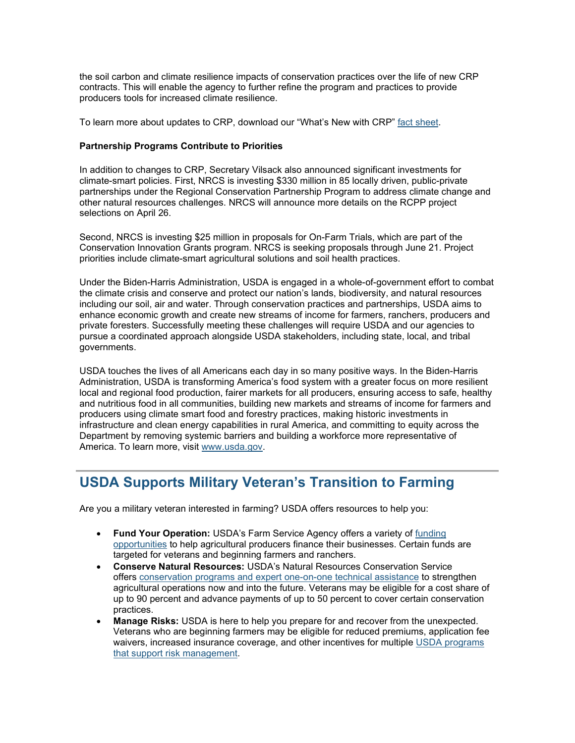the soil carbon and climate resilience impacts of conservation practices over the life of new CRP contracts. This will enable the agency to further refine the program and practices to provide producers tools for increased climate resilience.

To learn more about updates to CRP, download our "What's New with CRP" [fact sheet.](https://gcc02.safelinks.protection.outlook.com/?data=04%7C01%7C%7C054b353b0f854274f22a08d90b2087f5%7Ced5b36e701ee4ebc867ee03cfa0d4697%7C0%7C1%7C637553056856919826%7CUnknown%7CTWFpbGZsb3d8eyJWIjoiMC4wLjAwMDAiLCJQIjoiV2luMzIiLCJBTiI6Ik1haWwiLCJXVCI6Mn0%3D%7C3000&reserved=0&sdata=Jtn3pmOyvjOcTE0ZqeS24F21LZ5M%2Fs06ZxI%2B%2BWJTM78%3D&url=https%3A%2F%2Fwww.fsa.usda.gov%2Fprograms-and-services%2Fconservation-programs%2Fconservation-reserve-program%2Findex%3Futm_medium%3Demail%26utm_source%3Dgovdelivery&utm_medium=email&utm_source=govdelivery)

#### **Partnership Programs Contribute to Priorities**

In addition to changes to CRP, Secretary Vilsack also announced significant investments for climate-smart policies. First, NRCS is investing \$330 million in 85 locally driven, public-private partnerships under the Regional Conservation Partnership Program to address climate change and other natural resources challenges. NRCS will announce more details on the RCPP project selections on April 26.

Second, NRCS is investing \$25 million in proposals for On-Farm Trials, which are part of the Conservation Innovation Grants program. NRCS is seeking proposals through June 21. Project priorities include climate-smart agricultural solutions and soil health practices.

Under the Biden-Harris Administration, USDA is engaged in a whole-of-government effort to combat the climate crisis and conserve and protect our nation's lands, biodiversity, and natural resources including our soil, air and water. Through conservation practices and partnerships, USDA aims to enhance economic growth and create new streams of income for farmers, ranchers, producers and private foresters. Successfully meeting these challenges will require USDA and our agencies to pursue a coordinated approach alongside USDA stakeholders, including state, local, and tribal governments.

USDA touches the lives of all Americans each day in so many positive ways. In the Biden-Harris Administration, USDA is transforming America's food system with a greater focus on more resilient local and regional food production, fairer markets for all producers, ensuring access to safe, healthy and nutritious food in all communities, building new markets and streams of income for farmers and producers using climate smart food and forestry practices, making historic investments in infrastructure and clean energy capabilities in rural America, and committing to equity across the Department by removing systemic barriers and building a workforce more representative of America. To learn more, visit [www.usda.gov.](https://gcc02.safelinks.protection.outlook.com/?data=04%7C01%7C%7C2fbcd750f9074f98c8d908d90418cf3e%7Ced5b36e701ee4ebc867ee03cfa0d4697%7C0%7C0%7C637545326866067162%7CUnknown%7CTWFpbGZsb3d8eyJWIjoiMC4wLjAwMDAiLCJQIjoiV2luMzIiLCJBTiI6Ik1haWwiLCJXVCI6Mn0%3D%7C1000&reserved=0&sdata=f1gJF%2FGheJ1oFCy2VcfWabMTdLNYe8%2FSaC5TMl3A8t0%3D&url=https%3A%2F%2Fgbc-word-edit.officeapps.live.com%2Fwe%2Fwww.usda.gov%3Futm_medium%3Demail%26utm_source%3Dgovdelivery&utm_medium=email&utm_source=govdelivery)

# **USDA Supports Military Veteran's Transition to Farming**

Are you a military veteran interested in farming? USDA offers resources to help you:

- **Fund Your Operation:** USDA's Farm Service Agency offers a variety of [funding](https://www.farmers.gov/fund?utm_medium=email&utm_source=govdelivery)  [opportunities](https://www.farmers.gov/fund?utm_medium=email&utm_source=govdelivery) to help agricultural producers finance their businesses. Certain funds are targeted for veterans and beginning farmers and ranchers.
- **Conserve Natural Resources:** USDA's Natural Resources Conservation Service offers [conservation programs and expert one-on-one technical assistance](https://www.farmers.gov/conserve?utm_medium=email&utm_source=govdelivery) to strengthen agricultural operations now and into the future. Veterans may be eligible for a cost share of up to 90 percent and advance payments of up to 50 percent to cover certain conservation practices.
- **Manage Risks:** USDA is here to help you prepare for and recover from the unexpected. Veterans who are beginning farmers may be eligible for reduced premiums, application fee waivers, increased insurance coverage, and other incentives for multiple [USDA programs](https://www.farmers.gov/manage?utm_medium=email&utm_source=govdelivery)  [that support risk management.](https://www.farmers.gov/manage?utm_medium=email&utm_source=govdelivery)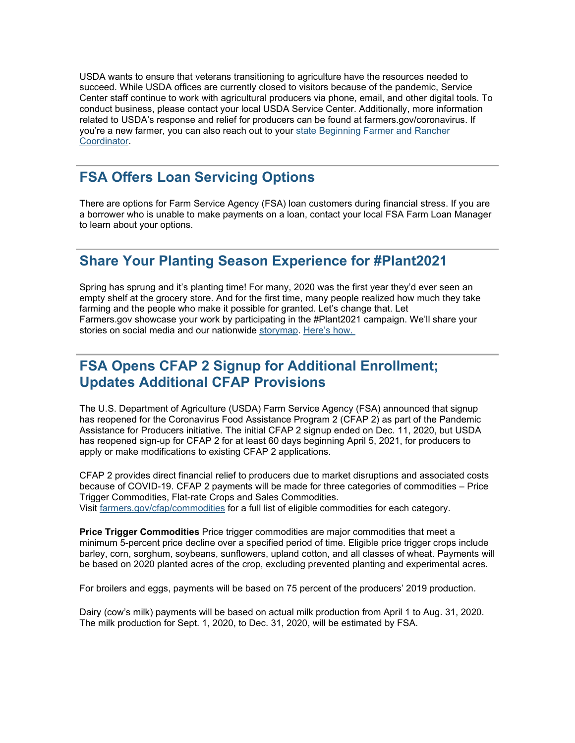USDA wants to ensure that veterans transitioning to agriculture have the resources needed to succeed. While USDA offices are currently closed to visitors because of the pandemic, Service Center staff continue to work with agricultural producers via phone, email, and other digital tools. To conduct business, please contact your local USDA Service Center. Additionally, more information related to USDA's response and relief for producers can be found at farmers.gov/coronavirus. If you're a new farmer, you can also reach out to your [state Beginning Farmer and Rancher](https://www.farmers.gov/manage/newfarmers/coordinators?utm_medium=email&utm_source=govdelivery)  [Coordinator.](https://www.farmers.gov/manage/newfarmers/coordinators?utm_medium=email&utm_source=govdelivery)

# **FSA Offers Loan Servicing Options**

There are options for Farm Service Agency (FSA) loan customers during financial stress. If you are a borrower who is unable to make payments on a loan, contact your local FSA Farm Loan Manager to learn about your options.

# **Share Your Planting Season Experience for #Plant2021**

Spring has sprung and it's planting time! For many, 2020 was the first year they'd ever seen an empty shelf at the grocery store. And for the first time, many people realized how much they take farming and the people who make it possible for granted. Let's change that. Let Farmers.gov showcase your work by participating in the #Plant2021 campaign. We'll share your stories on social media and our nationwide [storymap.](https://gcc02.safelinks.protection.outlook.com/?data=04%7C01%7C%7C054b353b0f854274f22a08d90b2087f5%7Ced5b36e701ee4ebc867ee03cfa0d4697%7C0%7C1%7C637553056856919826%7CUnknown%7CTWFpbGZsb3d8eyJWIjoiMC4wLjAwMDAiLCJQIjoiV2luMzIiLCJBTiI6Ik1haWwiLCJXVCI6Mn0%3D%7C3000&reserved=0&sdata=ObjMfn%2BE%2F8jAPsf84oJV4MyLS2vs%2Fw%2FucMc%2FJhWFQZk%3D&url=https%3A%2F%2Farcg.is%2F0Lq1z5%3Futm_medium%3Demail%26utm_source%3Dgovdelivery&utm_medium=email&utm_source=govdelivery) [Here's how.](https://www.farmers.gov/connect/blog/farm-life/share-your-planting-season-experience-plant2021?utm_medium=email&utm_source=govdelivery)

# **FSA Opens CFAP 2 Signup for Additional Enrollment; Updates Additional CFAP Provisions**

The U.S. Department of Agriculture (USDA) Farm Service Agency (FSA) announced that signup has reopened for the Coronavirus Food Assistance Program 2 (CFAP 2) as part of the Pandemic Assistance for Producers initiative. The initial CFAP 2 signup ended on Dec. 11, 2020, but USDA has reopened sign-up for CFAP 2 for at least 60 days beginning April 5, 2021, for producers to apply or make modifications to existing CFAP 2 applications.

CFAP 2 provides direct financial relief to producers due to market disruptions and associated costs because of COVID-19. CFAP 2 payments will be made for three categories of commodities – Price Trigger Commodities, Flat-rate Crops and Sales Commodities. Visit [farmers.gov/cfap/commodities](https://www.farmers.gov/cfap2/commodities?utm_medium=email&utm_source=govdelivery) for a full list of eligible commodities for each category.

**Price Trigger Commodities** Price trigger commodities are major commodities that meet a minimum 5-percent price decline over a specified period of time. Eligible price trigger crops include barley, corn, sorghum, soybeans, sunflowers, upland cotton, and all classes of wheat. Payments will be based on 2020 planted acres of the crop, excluding prevented planting and experimental acres.

For broilers and eggs, payments will be based on 75 percent of the producers' 2019 production.

Dairy (cow's milk) payments will be based on actual milk production from April 1 to Aug. 31, 2020. The milk production for Sept. 1, 2020, to Dec. 31, 2020, will be estimated by FSA.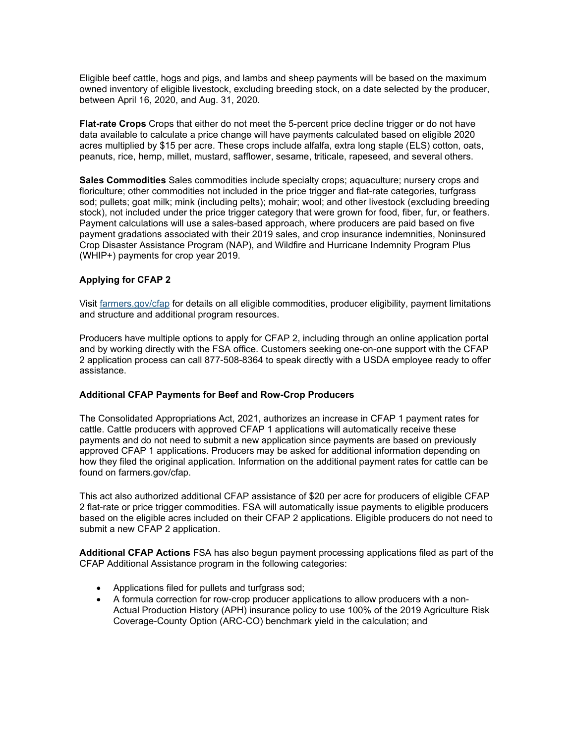Eligible beef cattle, hogs and pigs, and lambs and sheep payments will be based on the maximum owned inventory of eligible livestock, excluding breeding stock, on a date selected by the producer, between April 16, 2020, and Aug. 31, 2020.

**Flat-rate Crops** Crops that either do not meet the 5-percent price decline trigger or do not have data available to calculate a price change will have payments calculated based on eligible 2020 acres multiplied by \$15 per acre. These crops include alfalfa, extra long staple (ELS) cotton, oats, peanuts, rice, hemp, millet, mustard, safflower, sesame, triticale, rapeseed, and several others.

**Sales Commodities** Sales commodities include specialty crops; aquaculture; nursery crops and floriculture; other commodities not included in the price trigger and flat-rate categories, turfgrass sod; pullets; goat milk; mink (including pelts); mohair; wool; and other livestock (excluding breeding stock), not included under the price trigger category that were grown for food, fiber, fur, or feathers. Payment calculations will use a sales-based approach, where producers are paid based on five payment gradations associated with their 2019 sales, and crop insurance indemnities, Noninsured Crop Disaster Assistance Program (NAP), and Wildfire and Hurricane Indemnity Program Plus (WHIP+) payments for crop year 2019.

### **Applying for CFAP 2**

Visit [farmers.gov/cfap](https://www.farmers.gov/pandemic-assistance/cfap?utm_medium=email&utm_source=govdelivery) for details on all eligible commodities, producer eligibility, payment limitations and structure and additional program resources.

Producers have multiple options to apply for CFAP 2, including through an online application portal and by working directly with the FSA office. Customers seeking one-on-one support with the CFAP 2 application process can call 877-508-8364 to speak directly with a USDA employee ready to offer assistance.

#### **Additional CFAP Payments for Beef and Row-Crop Producers**

The Consolidated Appropriations Act, 2021, authorizes an increase in CFAP 1 payment rates for cattle. Cattle producers with approved CFAP 1 applications will automatically receive these payments and do not need to submit a new application since payments are based on previously approved CFAP 1 applications. Producers may be asked for additional information depending on how they filed the original application. Information on the additional payment rates for cattle can be found on farmers.gov/cfap.

This act also authorized additional CFAP assistance of \$20 per acre for producers of eligible CFAP 2 flat-rate or price trigger commodities. FSA will automatically issue payments to eligible producers based on the eligible acres included on their CFAP 2 applications. Eligible producers do not need to submit a new CFAP 2 application.

**Additional CFAP Actions** FSA has also begun payment processing applications filed as part of the CFAP Additional Assistance program in the following categories:

- Applications filed for pullets and turfgrass sod;
- A formula correction for row-crop producer applications to allow producers with a non-Actual Production History (APH) insurance policy to use 100% of the 2019 Agriculture Risk Coverage-County Option (ARC-CO) benchmark yield in the calculation; and